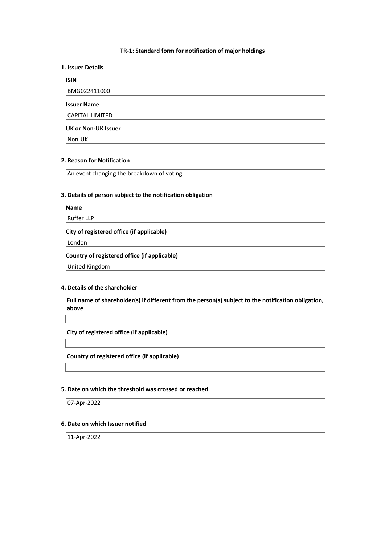#### **TR-1: Standard form for notification of major holdings**

### **1. Issuer Details**

## **ISIN**

BMG022411000

### **Issuer Name**

CAPITAL LIMITED

#### **UK or Non-UK Issuer**

Non-UK

# **2. Reason for Notification**

An event changing the breakdown of voting

## **3. Details of person subject to the notification obligation**

## **Name**

Ruffer LLP

## **City of registered office (if applicable)**

London

#### **Country of registered office (if applicable)**

United Kingdom

# **4. Details of the shareholder**

**Full name of shareholder(s) if different from the person(s) subject to the notification obligation, above** 

**City of registered office (if applicable)** 

#### **Country of registered office (if applicable)**

### **5. Date on which the threshold was crossed or reached**

07-Apr-2022

# **6. Date on which Issuer notified**

11-Apr-2022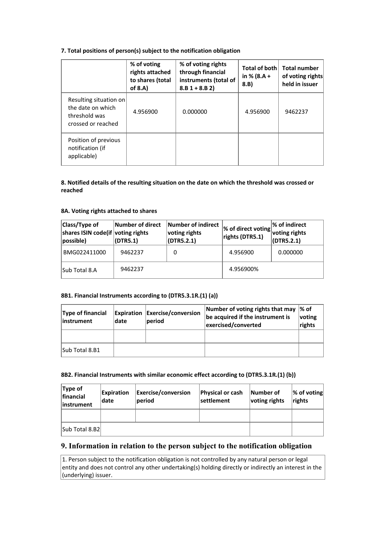# **7. Total positions of person(s) subject to the notification obligation**

|                                                                                    | % of voting<br>rights attached<br>to shares (total<br>of 8.A) | % of voting rights<br>through financial<br>instruments (total of<br>$8.B 1 + 8.B 2)$ | Total of both<br>in $% (8.A +$<br>8.B) | <b>Total number</b><br>of voting rights<br>held in issuer |
|------------------------------------------------------------------------------------|---------------------------------------------------------------|--------------------------------------------------------------------------------------|----------------------------------------|-----------------------------------------------------------|
| Resulting situation on<br>the date on which<br>threshold was<br>crossed or reached | 4.956900                                                      | 0.000000                                                                             | 4.956900                               | 9462237                                                   |
| Position of previous<br>notification (if<br>applicable)                            |                                                               |                                                                                      |                                        |                                                           |

## **8. Notified details of the resulting situation on the date on which the threshold was crossed or reached**

#### **8A. Voting rights attached to shares**

| Class/Type of<br>shares ISIN code(if voting rights<br>possible) | Number of direct<br>$\vert$ (DTR5.1) | Number of indirect<br>voting rights<br>(DTR5.2.1) | $\left  \%\right>$ of direct voting $\left  \begin{matrix} 0 & 0 \\ 0 & \text{ 0 \end{matrix}} \right $ voting rights<br>rights (DTR5.1) | % of indirect<br>$\vert$ (DTR5.2.1) |
|-----------------------------------------------------------------|--------------------------------------|---------------------------------------------------|------------------------------------------------------------------------------------------------------------------------------------------|-------------------------------------|
| BMG022411000                                                    | 9462237                              | 0                                                 | 4.956900                                                                                                                                 | 0.000000                            |
| Sub Total 8.A                                                   | 9462237                              |                                                   | 4.956900%                                                                                                                                |                                     |

# **8B1. Financial Instruments according to (DTR5.3.1R.(1) (a))**

| <b>Type of financial</b><br>linstrument | date | <b>Expiration Exercise/conversion</b><br>period | Number of voting rights that may<br>be acquired if the instrument is<br>exercised/converted | ∣% of<br>voting<br>rights |
|-----------------------------------------|------|-------------------------------------------------|---------------------------------------------------------------------------------------------|---------------------------|
|                                         |      |                                                 |                                                                                             |                           |
| Sub Total 8.B1                          |      |                                                 |                                                                                             |                           |

# **8B2. Financial Instruments with similar economic effect according to (DTR5.3.1R.(1) (b))**

| Type of<br>financial<br>linstrument | <b>Expiration</b><br>date | <b>Exercise/conversion</b><br>period | Physical or cash<br> settlement | Number of<br>voting rights | $ \%$ of voting<br>rights |
|-------------------------------------|---------------------------|--------------------------------------|---------------------------------|----------------------------|---------------------------|
|                                     |                           |                                      |                                 |                            |                           |
| Sub Total 8.B2                      |                           |                                      |                                 |                            |                           |

# **9. Information in relation to the person subject to the notification obligation**

1. Person subject to the notification obligation is not controlled by any natural person or legal entity and does not control any other undertaking(s) holding directly or indirectly an interest in the (underlying) issuer.